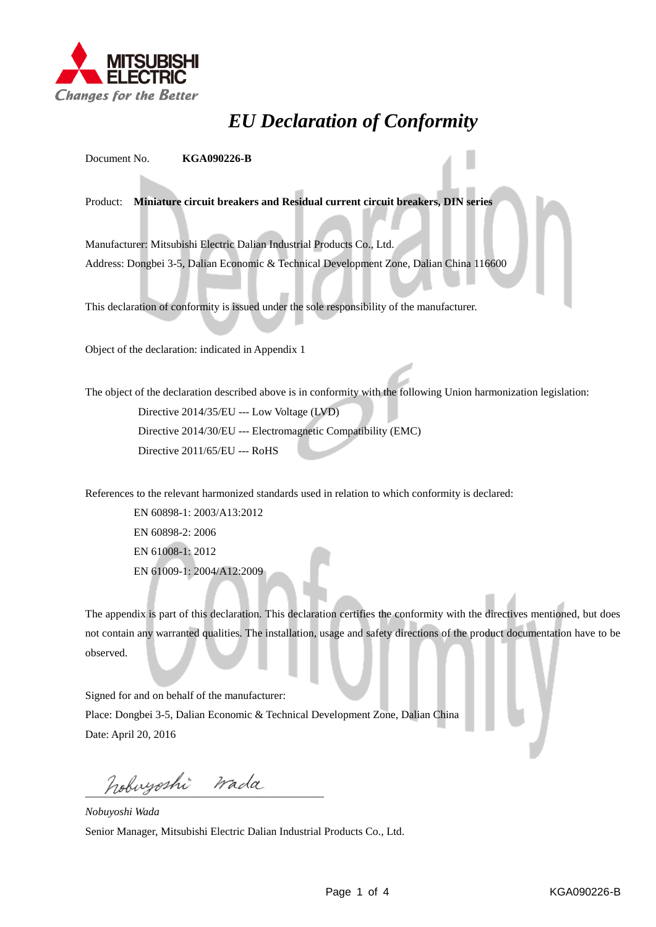

## *EU Declaration of Conformity*

Document No. **KGA090226-B**

Product: **Miniature circuit breakers and Residual current circuit breakers, DIN series**

Manufacturer: Mitsubishi Electric Dalian Industrial Products Co., Ltd. Address: Dongbei 3-5, Dalian Economic & Technical Development Zone, Dalian China 116600

This declaration of conformity is issued under the sole responsibility of the manufacturer.

Object of the declaration: indicated in Appendix 1

The object of the declaration described above is in conformity with the following Union harmonization legislation: Directive 2014/35/EU --- Low Voltage (LVD) Directive 2014/30/EU --- Electromagnetic Compatibility (EMC) Directive 2011/65/EU --- RoHS

References to the relevant harmonized standards used in relation to which conformity is declared:

EN 60898-1: 2003/A13:2012 EN 60898-2: 2006 EN 61008-1: 2012 EN 61009-1: 2004/A12:2009

The appendix is part of this declaration. This declaration certifies the conformity with the directives mentioned, but does not contain any warranted qualities. The installation, usage and safety directions of the product documentation have to be observed.

Signed for and on behalf of the manufacturer:

Place: Dongbei 3-5, Dalian Economic & Technical Development Zone, Dalian China Date: April 20, 2016

hobuyoshi wada

*Nobuyoshi Wada* Senior Manager, Mitsubishi Electric Dalian Industrial Products Co., Ltd.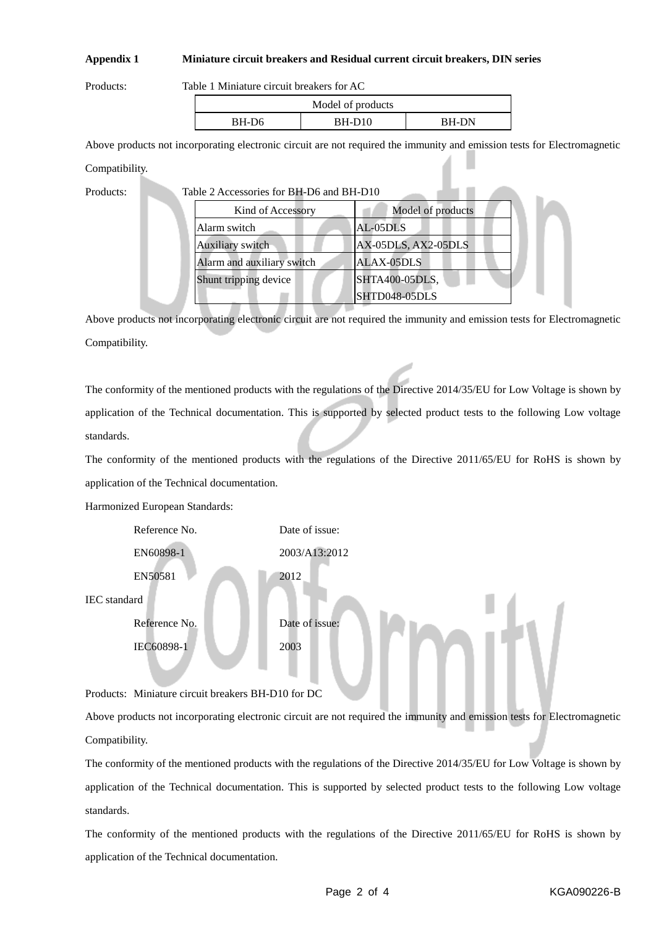## **Appendix 1 Miniature circuit breakers and Residual current circuit breakers, DIN series**

Products: Table 1 Miniature circuit breakers for AC

| Model of products |          |              |  |
|-------------------|----------|--------------|--|
| BH-D6             | $BH-D10$ | <b>BH-DN</b> |  |

Above products not incorporating electronic circuit are not required the immunity and emission tests for Electromagnetic Compatibility.

Products:

| Table 2 Accessories for BH-D6 and BH-D10 |  |  |  |  |
|------------------------------------------|--|--|--|--|
|------------------------------------------|--|--|--|--|

| Kind of Accessory          | Model of products   |
|----------------------------|---------------------|
| Alarm switch               | AL-05DLS            |
| Auxiliary switch           | AX-05DLS, AX2-05DLS |
| Alarm and auxiliary switch | <b>ALAX-05DLS</b>   |
| Shunt tripping device      | SHTA400-05DLS,      |
|                            | SHTD048-05DLS       |

Above products not incorporating electronic circuit are not required the immunity and emission tests for Electromagnetic Compatibility.

The conformity of the mentioned products with the regulations of the Directive 2014/35/EU for Low Voltage is shown by application of the Technical documentation. This is supported by selected product tests to the following Low voltage standards.

The conformity of the mentioned products with the regulations of the Directive 2011/65/EU for RoHS is shown by application of the Technical documentation.

Harmonized European Standards:



Products: Miniature circuit breakers BH-D10 for DC

Above products not incorporating electronic circuit are not required the immunity and emission tests for Electromagnetic Compatibility.

The conformity of the mentioned products with the regulations of the Directive 2014/35/EU for Low Voltage is shown by application of the Technical documentation. This is supported by selected product tests to the following Low voltage standards.

The conformity of the mentioned products with the regulations of the Directive 2011/65/EU for RoHS is shown by application of the Technical documentation.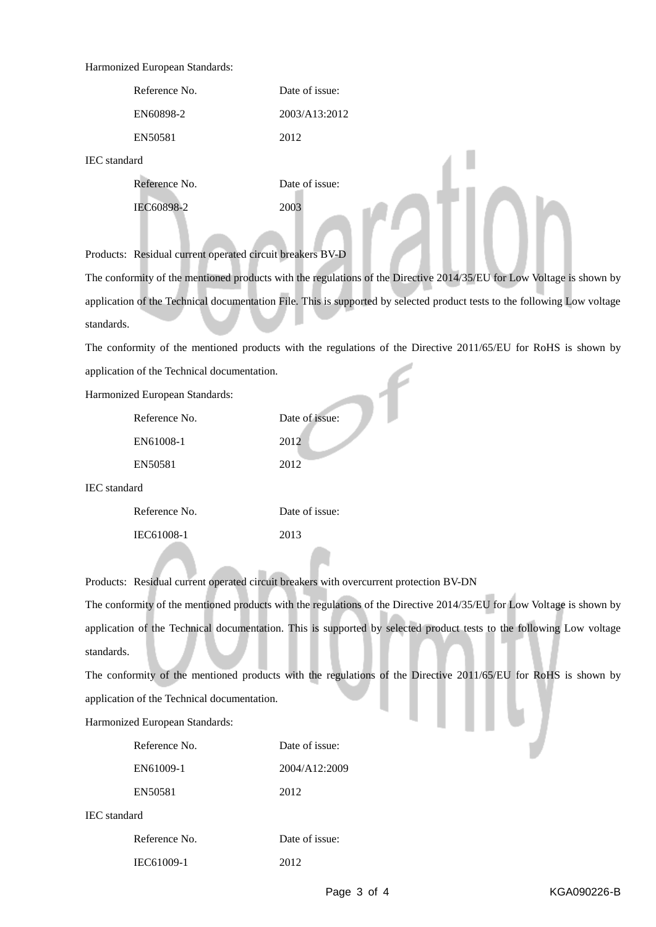## Harmonized European Standards:

| Reference No. | Date of issue: |
|---------------|----------------|
| EN60898-2     | 2003/A13:2012  |
| EN50581       | 2012           |

IEC standard

| Reference No. | Date of issue: |
|---------------|----------------|
| IEC60898-2    | 2003           |

Products: Residual current operated circuit breakers BV-D

The conformity of the mentioned products with the regulations of the Directive 2014/35/EU for Low Voltage is shown by application of the Technical documentation File. This is supported by selected product tests to the following Low voltage standards.

The conformity of the mentioned products with the regulations of the Directive 2011/65/EU for RoHS is shown by application of the Technical documentation.

Harmonized European Standards:

| Reference No. | Date of issue: |
|---------------|----------------|
| EN61008-1     | 2012           |
| EN50581       | 2012           |

IEC standard

| Reference No. | Date of issue: |
|---------------|----------------|
| IEC61008-1    | 2013           |

Products: Residual current operated circuit breakers with overcurrent protection BV-DN

The conformity of the mentioned products with the regulations of the Directive 2014/35/EU for Low Voltage is shown by application of the Technical documentation. This is supported by selected product tests to the following Low voltage standards.

The conformity of the mentioned products with the regulations of the Directive 2011/65/EU for RoHS is shown by application of the Technical documentation.

Harmonized European Standards:

| Reference No. | Date of issue: |
|---------------|----------------|
| EN61009-1     | 2004/A12:2009  |
| EN50581       | 2012           |

IEC standard

| Reference No. | Date of issue: |
|---------------|----------------|
| IEC61009-1    | 2012           |